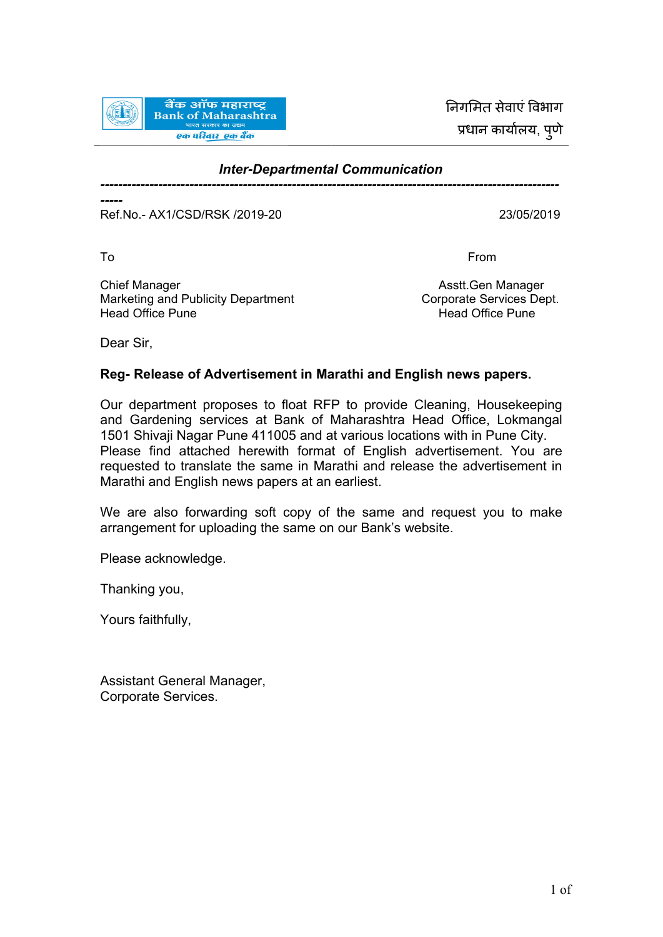

निगमित सेवाएं विभाग प्रधान कार्यालय, पुणे

## *Inter-Departmental Communication -------------------------------------------------------------------------------------------------------*

*-----* Ref.No.- AX1/CSD/RSK /2019-20 23/05/2019

To **From** 

Chief Manager **Asstt.Gen Manager** Asstt.Gen Manager Marketing and Publicity Department<br>
Head Office Pune<br>
Head Office Pune

Head Office Pune

Dear Sir,

## **Reg- Release of Advertisement in Marathi and English news papers.**

Our department proposes to float RFP to provide Cleaning, Housekeeping and Gardening services at Bank of Maharashtra Head Office, Lokmangal 1501 Shivaji Nagar Pune 411005 and at various locations with in Pune City. Please find attached herewith format of English advertisement. You are requested to translate the same in Marathi and release the advertisement in Marathi and English news papers at an earliest.

We are also forwarding soft copy of the same and request you to make arrangement for uploading the same on our Bank's website.

Please acknowledge.

Thanking you,

Yours faithfully,

Assistant General Manager, Corporate Services.